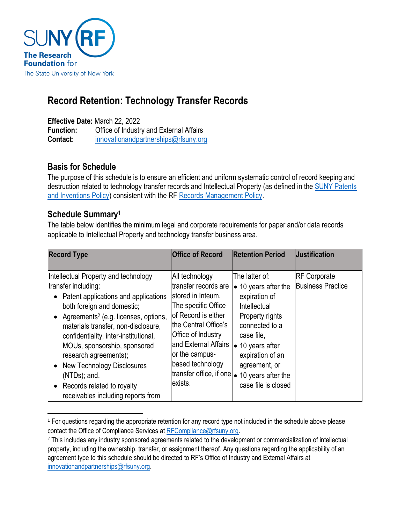

# **Record Retention: Technology Transfer Records**

**Effective Date:** March 22, 2022

**Function:** Office of Industry and External Affairs **Contact:** [innovationandpartnerships@rfsuny.org](mailto:innovationandpartnerships@rfsuny.org)

# **Basis for Schedule**

The purpose of this schedule is to ensure an efficient and uniform systematic control of record keeping and destruction related to technology transfer records and Intellectual Property (as defined in th[e SUNY Patents](https://govt.westlaw.com/nycrr/Document/Iddf30c95c22311dd973ec82e85411269?viewType=FullText&originationContext=documenttoc&transitionType=CategoryPageItem&contextData=(sc.Default))  [and Inventions Policy\)](https://govt.westlaw.com/nycrr/Document/Iddf30c95c22311dd973ec82e85411269?viewType=FullText&originationContext=documenttoc&transitionType=CategoryPageItem&contextData=(sc.Default)) consistent with the R[F Records Management Policy.](http://www.rfsuny.org/media/RFSUNY/Policies/records_management_policy_pol.htm)

### **Schedule Summary<sup>1</sup>**

The table below identifies the minimum legal and corporate requirements for paper and/or data records applicable to Intellectual Property and technology transfer business area.

| <b>Record Type</b>                                                                                                                                                                                                                                                                                                                                                                                                                                  | <b>Office of Record</b>                                                                                                                                                                                                                                       | <b>Retention Period</b>                                                                                                                                                                                                                          | Uustification                                   |
|-----------------------------------------------------------------------------------------------------------------------------------------------------------------------------------------------------------------------------------------------------------------------------------------------------------------------------------------------------------------------------------------------------------------------------------------------------|---------------------------------------------------------------------------------------------------------------------------------------------------------------------------------------------------------------------------------------------------------------|--------------------------------------------------------------------------------------------------------------------------------------------------------------------------------------------------------------------------------------------------|-------------------------------------------------|
| Intellectual Property and technology<br>transfer including:<br>Patent applications and applications<br>both foreign and domestic;<br>Agreements <sup>2</sup> (e.g. licenses, options,<br>materials transfer, non-disclosure,<br>confidentiality, inter-institutional,<br>MOUs, sponsorship, sponsored<br>research agreements);<br>New Technology Disclosures<br>$(NTDs)$ ; and,<br>Records related to royalty<br>receivables including reports from | All technology<br>transfer records are<br>stored in Inteum.<br>The specific Office<br>of Record is either<br>lthe Central Office's<br>Office of Industry<br>land External Affairs<br>or the campus-<br>based technology<br>transfer office, if one<br>exists. | The latter of:<br>$\bullet$ 10 years after the<br>expiration of<br>Intellectual<br>Property rights<br>connected to a<br>case file.<br>$\bullet$ 10 years after<br>expiration of an<br>agreement, or<br>10 years after the<br>case file is closed | <b>RF Corporate</b><br><b>Business Practice</b> |

<sup>&</sup>lt;sup>1</sup> For questions regarding the appropriate retention for any record type not included in the schedule above please contact the Office of Compliance Services at [RFCompliance@rfsuny.org.](mailto:RFCompliance@rfsuny.org)

<sup>2</sup> This includes any industry sponsored agreements related to the development or commercialization of intellectual property, including the ownership, transfer, or assignment thereof. Any questions regarding the applicability of an agreement type to this schedule should be directed to RF's Office of Industry and External Affairs at [innovationandpartnerships@rfsuny.org.](mailto:innovationandpartnerships@rfsuny.org)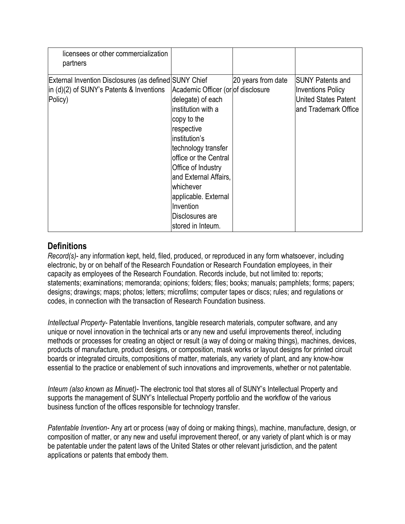| licensees or other commercialization<br>partners                                                             |                                                                                                                                                                                                                                                                                                                      |                    |                                                                                                             |
|--------------------------------------------------------------------------------------------------------------|----------------------------------------------------------------------------------------------------------------------------------------------------------------------------------------------------------------------------------------------------------------------------------------------------------------------|--------------------|-------------------------------------------------------------------------------------------------------------|
| External Invention Disclosures (as defined SUNY Chief<br>in (d)(2) of SUNY's Patents & Inventions<br>Policy) | Academic Officer (or of disclosure<br>delegate) of each<br>institution with a<br>copy to the<br>respective<br>institution's<br>technology transfer<br>office or the Central<br>Office of Industry<br>and External Affairs,<br>whichever<br>applicable. External<br>Invention<br>Disclosures are<br>stored in Inteum. | 20 years from date | <b>ISUNY Patents and</b><br><b>Inventions Policy</b><br><b>United States Patent</b><br>and Trademark Office |

#### **Definitions**

*Record(s)*- any information kept, held, filed, produced, or reproduced in any form whatsoever, including electronic, by or on behalf of the Research Foundation or Research Foundation employees, in their capacity as employees of the Research Foundation. Records include, but not limited to: reports; statements; examinations; memoranda; opinions; folders; files; books; manuals; pamphlets; forms; papers; designs; drawings; maps; photos; letters; microfilms; computer tapes or discs; rules; and regulations or codes, in connection with the transaction of Research Foundation business.

*Intellectual Property*- Patentable Inventions, tangible research materials, computer software, and any unique or novel innovation in the technical arts or any new and useful improvements thereof, including methods or processes for creating an object or result (a way of doing or making things)*,* machines, devices, products of manufacture, product designs, or composition, mask works or layout designs for printed circuit boards or integrated circuits, compositions of matter, materials, any variety of plant, and any know-how essential to the practice or enablement of such innovations and improvements, whether or not patentable.

*Inteum (also known as Minuet)-* The electronic tool that stores all of SUNY's Intellectual Property and supports the management of SUNY's Intellectual Property portfolio and the workflow of the various business function of the offices responsible for technology transfer.

*Patentable Invention-* Any art or process (way of doing or making things), machine, manufacture, design, or composition of matter, or any new and useful improvement thereof, or any variety of plant which is or may be patentable under the patent laws of the United States or other relevant jurisdiction, and the patent applications or patents that embody them.